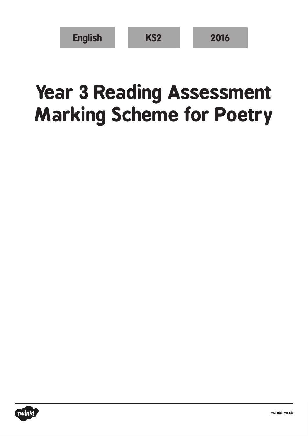| <b>English</b> | KS <sub>2</sub> | 2016 |
|----------------|-----------------|------|
|----------------|-----------------|------|

## **Year 3 Reading Assessment Marking Scheme for Poetry**

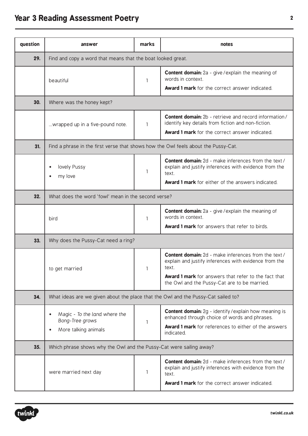## **Year 3 Reading Assessment Poetry <sup>2</sup>**

| question | answer                                                                             | marks | notes                                                                                                                                                                           |  |  |
|----------|------------------------------------------------------------------------------------|-------|---------------------------------------------------------------------------------------------------------------------------------------------------------------------------------|--|--|
| 29.      | Find and copy a word that means that the boat looked great.                        |       |                                                                                                                                                                                 |  |  |
|          | beautiful                                                                          | 1     | <b>Content domain:</b> 2a - give / explain the meaning of<br>words in context.                                                                                                  |  |  |
|          |                                                                                    |       | <b>Award 1 mark</b> for the correct answer indicated.                                                                                                                           |  |  |
| 30.      | Where was the honey kept?                                                          |       |                                                                                                                                                                                 |  |  |
|          | wrapped up in a five-pound note.                                                   | 1     | <b>Content domain:</b> 2b - retrieve and record information/<br>identify key details from fiction and non-fiction.                                                              |  |  |
|          |                                                                                    |       | <b>Award 1 mark</b> for the correct answer indicated.                                                                                                                           |  |  |
| 31.      | Find a phrase in the first verse that shows how the Owl feels about the Pussy-Cat. |       |                                                                                                                                                                                 |  |  |
|          | lovely Pussy<br>$\bullet$<br>my love                                               | 1     | <b>Content domain:</b> 2d - make inferences from the text /<br>explain and justify inferences with evidence from the<br>text.                                                   |  |  |
|          |                                                                                    |       | <b>Award 1 mark</b> for either of the answers indicated.                                                                                                                        |  |  |
| 32.      | What does the word 'fowl' mean in the second verse?                                |       |                                                                                                                                                                                 |  |  |
|          | bird                                                                               | 1     | <b>Content domain:</b> 2a - give / explain the meaning of<br>words in context.                                                                                                  |  |  |
|          |                                                                                    |       | Award 1 mark for answers that refer to birds.                                                                                                                                   |  |  |
| 33.      | Why does the Pussy-Cat need a ring?                                                |       |                                                                                                                                                                                 |  |  |
|          | to get married                                                                     |       | <b>Content domain:</b> 2d - make inferences from the text /<br>explain and justify inferences with evidence from the<br>text.                                                   |  |  |
|          |                                                                                    |       | <b>Award 1 mark</b> for answers that refer to the fact that<br>the Owl and the Pussy-Cat are to be married.                                                                     |  |  |
| 34.      | What ideas are we given about the place that the Owl and the Pussy-Cat sailed to?  |       |                                                                                                                                                                                 |  |  |
|          | Magic - To the land where the<br>Bong-Tree grows                                   |       | <b>Content domain:</b> 2g - identify / explain how meaning is<br>enhanced through choice of words and phrases.                                                                  |  |  |
|          | More talking animals<br>$\bullet$                                                  | 1     | <b>Award 1 mark</b> for references to either of the answers<br>indicated.                                                                                                       |  |  |
| 35.      | Which phrase shows why the Owl and the Pussy-Cat were sailing away?                |       |                                                                                                                                                                                 |  |  |
|          | were married next day                                                              | 1     | <b>Content domain:</b> 2d - make inferences from the text /<br>explain and justify inferences with evidence from the<br>text.<br>Award 1 mark for the correct answer indicated. |  |  |